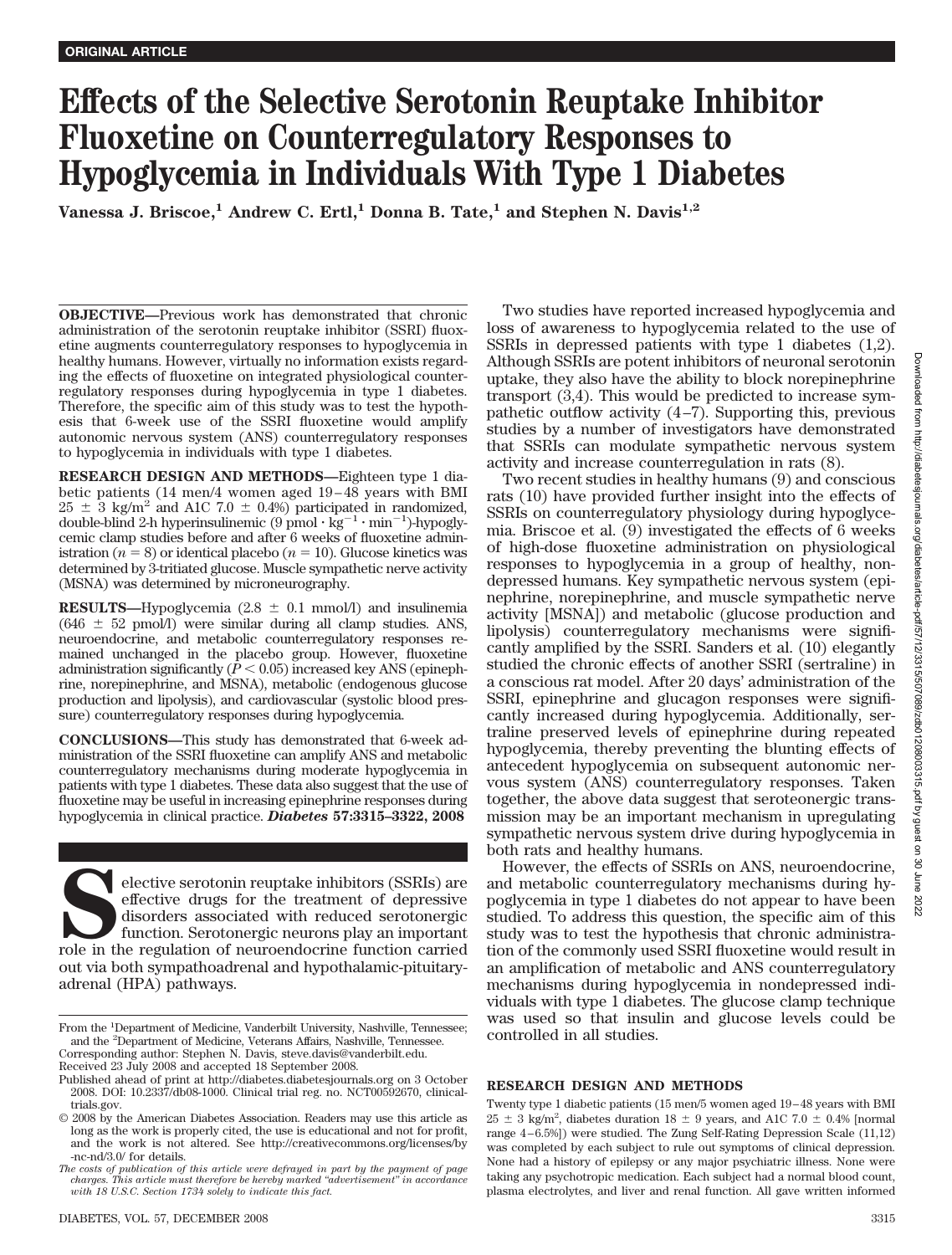# **Effects of the Selective Serotonin Reuptake Inhibitor Fluoxetine on Counterregulatory Responses to Hypoglycemia in Individuals With Type 1 Diabetes**

**Vanessa J. Briscoe,<sup>1</sup> Andrew C. Ertl,<sup>1</sup> Donna B. Tate,<sup>1</sup> and Stephen N. Davis<sup>1,2</sup>** 

**OBJECTIVE—**Previous work has demonstrated that chronic administration of the serotonin reuptake inhibitor (SSRI) fluoxetine augments counterregulatory responses to hypoglycemia in healthy humans. However, virtually no information exists regarding the effects of fluoxetine on integrated physiological counterregulatory responses during hypoglycemia in type 1 diabetes. Therefore, the specific aim of this study was to test the hypothesis that 6-week use of the SSRI fluoxetine would amplify autonomic nervous system (ANS) counterregulatory responses to hypoglycemia in individuals with type 1 diabetes.

**RESEARCH DESIGN AND METHODS—**Eighteen type 1 diabetic patients (14 men/4 women aged 19 – 48 years with BMI  $25 \pm 3$  kg/m<sup>2</sup> and A1C 7.0  $\pm$  0.4%) participated in randomized, double-blind 2-h hyperinsulinemic  $(9 \text{ pmol} \cdot \text{kg}^{-1} \cdot \text{min}^{-1})$ -hypoglycemic clamp studies before and after 6 weeks of fluoxetine administration ( $n = 8$ ) or identical placebo ( $n = 10$ ). Glucose kinetics was determined by 3-tritiated glucose. Muscle sympathetic nerve activity (MSNA) was determined by microneurography.

**RESULTS—Hypoglycemia**  $(2.8 \pm 0.1 \text{ mmol/l})$  **and insulinemia**  $(646 \pm 52 \text{ mmol/l})$  were similar during all clamp studies. ANS, neuroendocrine, and metabolic counterregulatory responses remained unchanged in the placebo group. However, fluoxetine administration significantly  $(\bar{P} < 0.05)$  increased key ANS (epinephrine, norepinephrine, and MSNA), metabolic (endogenous glucose production and lipolysis), and cardiovascular (systolic blood pressure) counterregulatory responses during hypoglycemia.

**CONCLUSIONS—**This study has demonstrated that 6-week administration of the SSRI fluoxetine can amplify ANS and metabolic counterregulatory mechanisms during moderate hypoglycemia in patients with type 1 diabetes. These data also suggest that the use of fluoxetine may be useful in increasing epinephrine responses during hypoglycemia in clinical practice. *Diabetes* **57:3315–3322, 2008**

Elective serotonin reuptake inhibitors (SSRIs) are effective drugs for the treatment of depressive disorders associated with reduced serotonergic function. Serotonergic neurons play an important role in the regulation of n effective drugs for the treatment of depressive disorders associated with reduced serotonergic function. Serotonergic neurons play an important out via both sympathoadrenal and hypothalamic-pituitaryadrenal (HPA) pathways.

Two studies have reported increased hypoglycemia and loss of awareness to hypoglycemia related to the use of SSRIs in depressed patients with type 1 diabetes (1,2). Although SSRIs are potent inhibitors of neuronal serotonin uptake, they also have the ability to block norepinephrine transport (3,4). This would be predicted to increase sympathetic outflow activity  $(4-7)$ . Supporting this, previous studies by a number of investigators have demonstrated that SSRIs can modulate sympathetic nervous system activity and increase counterregulation in rats (8).

Two recent studies in healthy humans (9) and conscious rats (10) have provided further insight into the effects of SSRIs on counterregulatory physiology during hypoglycemia. Briscoe et al. (9) investigated the effects of 6 weeks of high-dose fluoxetine administration on physiological responses to hypoglycemia in a group of healthy, nondepressed humans. Key sympathetic nervous system (epinephrine, norepinephrine, and muscle sympathetic nerve activity [MSNA]) and metabolic (glucose production and lipolysis) counterregulatory mechanisms were significantly amplified by the SSRI. Sanders et al. (10) elegantly studied the chronic effects of another SSRI (sertraline) in a conscious rat model. After 20 days' administration of the SSRI, epinephrine and glucagon responses were significantly increased during hypoglycemia. Additionally, sertraline preserved levels of epinephrine during repeated hypoglycemia, thereby preventing the blunting effects of antecedent hypoglycemia on subsequent autonomic nervous system (ANS) counterregulatory responses. Taken together, the above data suggest that seroteonergic transmission may be an important mechanism in upregulating sympathetic nervous system drive during hypoglycemia in both rats and healthy humans.

However, the effects of SSRIs on ANS, neuroendocrine, and metabolic counterregulatory mechanisms during hypoglycemia in type 1 diabetes do not appear to have been studied. To address this question, the specific aim of this study was to test the hypothesis that chronic administration of the commonly used SSRI fluoxetine would result in an amplification of metabolic and ANS counterregulatory mechanisms during hypoglycemia in nondepressed individuals with type 1 diabetes. The glucose clamp technique was used so that insulin and glucose levels could be controlled in all studies.

### **RESEARCH DESIGN AND METHODS**

Twenty type 1 diabetic patients (15 men/5 women aged 19 – 48 years with BMI  $25 \pm 3$  kg/m<sup>2</sup>, diabetes duration  $18 \pm 9$  years, and A1C 7.0  $\pm$  0.4% [normal range 4 – 6.5%]) were studied. The Zung Self-Rating Depression Scale (11,12) was completed by each subject to rule out symptoms of clinical depression. None had a history of epilepsy or any major psychiatric illness. None were taking any psychotropic medication. Each subject had a normal blood count, plasma electrolytes, and liver and renal function. All gave written informed

From the <sup>1</sup>Department of Medicine, Vanderbilt University, Nashville, Tennessee; and the <sup>2</sup> Department of Medicine, Veterans Affairs, Nashville, Tennessee. Corresponding author: Stephen N. Davis, steve.davis@vanderbilt.edu.

Received 23 July 2008 and accepted 18 September 2008.

Published ahead of print at http://diabetes.diabetesjournals.org on 3 October

<sup>2008.</sup> DOI: 10.2337/db08-1000. Clinical trial reg. no. NCT00592670, clinicaltrials.gov.

<sup>© 2008</sup> by the American Diabetes Association. Readers may use this article as long as the work is properly cited, the use is educational and not for profit, and the work is not altered. See http://creativecommons.org/licenses/by -nc-nd/3.0/ for details.

*The costs of publication of this article were defrayed in part by the payment of page charges. This article must therefore be hereby marked "advertisement" in accordance with 18 U.S.C. Section 1734 solely to indicate this fact.*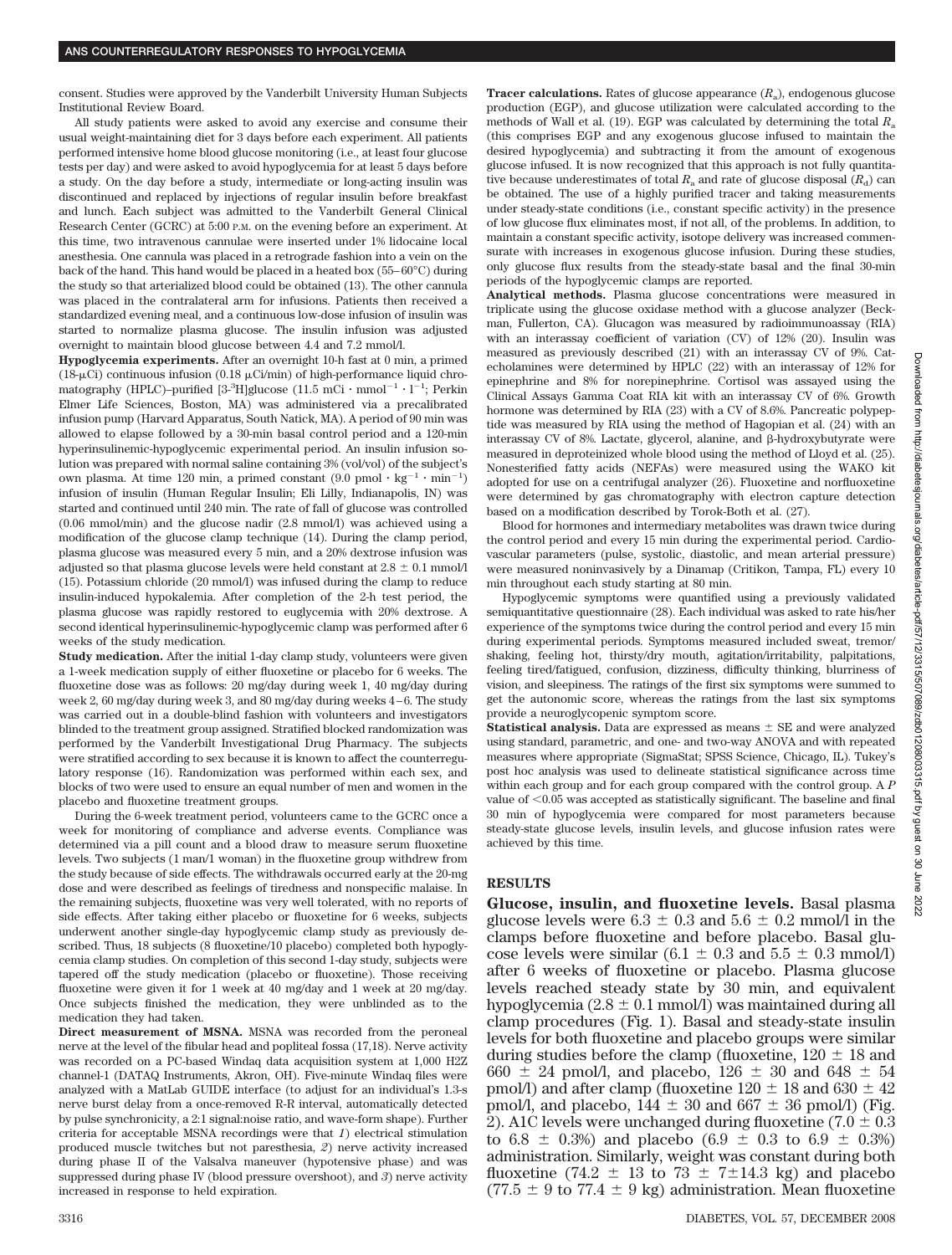consent. Studies were approved by the Vanderbilt University Human Subjects Institutional Review Board.

All study patients were asked to avoid any exercise and consume their usual weight-maintaining diet for 3 days before each experiment. All patients performed intensive home blood glucose monitoring (i.e., at least four glucose tests per day) and were asked to avoid hypoglycemia for at least 5 days before a study. On the day before a study, intermediate or long-acting insulin was discontinued and replaced by injections of regular insulin before breakfast and lunch. Each subject was admitted to the Vanderbilt General Clinical Research Center (GCRC) at 5:00 P.M. on the evening before an experiment. At this time, two intravenous cannulae were inserted under 1% lidocaine local anesthesia. One cannula was placed in a retrograde fashion into a vein on the back of the hand. This hand would be placed in a heated box (55– 60°C) during the study so that arterialized blood could be obtained (13). The other cannula was placed in the contralateral arm for infusions. Patients then received a standardized evening meal, and a continuous low-dose infusion of insulin was started to normalize plasma glucose. The insulin infusion was adjusted overnight to maintain blood glucose between 4.4 and 7.2 mmol/l.

**Hypoglycemia experiments.** After an overnight 10-h fast at 0 min, a primed (18- $\mu$ Ci) continuous infusion (0.18  $\mu$ Ci/min) of high-performance liquid chromatography (HPLC)-purified  $[3\text{-}^{3}H]$ glucose (11.5 mCi · mmol<sup>-1</sup> · l<sup>-1</sup>; Perkin Elmer Life Sciences, Boston, MA) was administered via a precalibrated infusion pump (Harvard Apparatus, South Natick, MA). A period of 90 min was allowed to elapse followed by a 30-min basal control period and a 120-min hyperinsulinemic-hypoglycemic experimental period. An insulin infusion solution was prepared with normal saline containing 3% (vol/vol) of the subject's own plasma. At time 120 min, a primed constant  $(9.0 \text{ pmol} \cdot \text{kg}^{-1} \cdot \text{min}^{-1})$ infusion of insulin (Human Regular Insulin; Eli Lilly, Indianapolis, IN) was started and continued until 240 min. The rate of fall of glucose was controlled (0.06 mmol/min) and the glucose nadir (2.8 mmol/l) was achieved using a modification of the glucose clamp technique (14). During the clamp period, plasma glucose was measured every 5 min, and a 20% dextrose infusion was adjusted so that plasma glucose levels were held constant at  $2.8 \pm 0.1$  mmol/l (15). Potassium chloride (20 mmol/l) was infused during the clamp to reduce insulin-induced hypokalemia. After completion of the 2-h test period, the plasma glucose was rapidly restored to euglycemia with 20% dextrose. A second identical hyperinsulinemic-hypoglycemic clamp was performed after 6 weeks of the study medication.

**Study medication.** After the initial 1-day clamp study, volunteers were given a 1-week medication supply of either fluoxetine or placebo for 6 weeks. The fluoxetine dose was as follows: 20 mg/day during week 1, 40 mg/day during week 2, 60 mg/day during week 3, and 80 mg/day during weeks 4 – 6. The study was carried out in a double-blind fashion with volunteers and investigators blinded to the treatment group assigned. Stratified blocked randomization was performed by the Vanderbilt Investigational Drug Pharmacy. The subjects were stratified according to sex because it is known to affect the counterregulatory response (16). Randomization was performed within each sex, and blocks of two were used to ensure an equal number of men and women in the placebo and fluoxetine treatment groups.

During the 6-week treatment period, volunteers came to the GCRC once a week for monitoring of compliance and adverse events. Compliance was determined via a pill count and a blood draw to measure serum fluoxetine levels. Two subjects (1 man/1 woman) in the fluoxetine group withdrew from the study because of side effects. The withdrawals occurred early at the 20-mg dose and were described as feelings of tiredness and nonspecific malaise. In the remaining subjects, fluoxetine was very well tolerated, with no reports of side effects. After taking either placebo or fluoxetine for 6 weeks, subjects underwent another single-day hypoglycemic clamp study as previously described. Thus, 18 subjects (8 fluoxetine/10 placebo) completed both hypoglycemia clamp studies. On completion of this second 1-day study, subjects were tapered off the study medication (placebo or fluoxetine). Those receiving fluoxetine were given it for 1 week at 40 mg/day and 1 week at 20 mg/day. Once subjects finished the medication, they were unblinded as to the medication they had taken.

**Direct measurement of MSNA.** MSNA was recorded from the peroneal nerve at the level of the fibular head and popliteal fossa (17,18). Nerve activity was recorded on a PC-based Windaq data acquisition system at 1,000 H2Z channel-1 (DATAQ Instruments, Akron, OH). Five-minute Windaq files were analyzed with a MatLab GUIDE interface (to adjust for an individual's 1.3-s nerve burst delay from a once-removed R-R interval, automatically detected by pulse synchronicity, a 2:1 signal:noise ratio, and wave-form shape). Further criteria for acceptable MSNA recordings were that *1*) electrical stimulation produced muscle twitches but not paresthesia, *2*) nerve activity increased during phase II of the Valsalva maneuver (hypotensive phase) and was suppressed during phase IV (blood pressure overshoot), and *3*) nerve activity increased in response to held expiration.

**Tracer calculations.** Rates of glucose appearance  $(R_a)$ , endogenous glucose production (EGP), and glucose utilization were calculated according to the methods of Wall et al. (19). EGP was calculated by determining the total  $R_a$ (this comprises EGP and any exogenous glucose infused to maintain the desired hypoglycemia) and subtracting it from the amount of exogenous glucose infused. It is now recognized that this approach is not fully quantitative because underestimates of total  $R_a$  and rate of glucose disposal  $(R_d)$  can be obtained. The use of a highly purified tracer and taking measurements under steady-state conditions (i.e., constant specific activity) in the presence of low glucose flux eliminates most, if not all, of the problems. In addition, to maintain a constant specific activity, isotope delivery was increased commensurate with increases in exogenous glucose infusion. During these studies, only glucose flux results from the steady-state basal and the final 30-min periods of the hypoglycemic clamps are reported.

**Analytical methods.** Plasma glucose concentrations were measured in triplicate using the glucose oxidase method with a glucose analyzer (Beckman, Fullerton, CA). Glucagon was measured by radioimmunoassay (RIA) with an interassay coefficient of variation (CV) of 12% (20). Insulin was measured as previously described (21) with an interassay CV of 9%. Catecholamines were determined by HPLC (22) with an interassay of 12% for epinephrine and 8% for norepinephrine. Cortisol was assayed using the Clinical Assays Gamma Coat RIA kit with an interassay CV of 6%. Growth hormone was determined by RIA (23) with a CV of 8.6%. Pancreatic polypeptide was measured by RIA using the method of Hagopian et al. (24) with an interassay CV of 8%. Lactate, glycerol, alanine, and  $\beta$ -hydroxybutyrate were measured in deproteinized whole blood using the method of Lloyd et al. (25). Nonesterified fatty acids (NEFAs) were measured using the WAKO kit adopted for use on a centrifugal analyzer (26). Fluoxetine and norfluoxetine were determined by gas chromatography with electron capture detection based on a modification described by Torok-Both et al. (27).

Blood for hormones and intermediary metabolites was drawn twice during the control period and every 15 min during the experimental period. Cardiovascular parameters (pulse, systolic, diastolic, and mean arterial pressure) were measured noninvasively by a Dinamap (Critikon, Tampa, FL) every 10 min throughout each study starting at 80 min.

Hypoglycemic symptoms were quantified using a previously validated semiquantitative questionnaire (28). Each individual was asked to rate his/her experience of the symptoms twice during the control period and every 15 min during experimental periods. Symptoms measured included sweat, tremor/ shaking, feeling hot, thirsty/dry mouth, agitation/irritability, palpitations, feeling tired/fatigued, confusion, dizziness, difficulty thinking, blurriness of vision, and sleepiness. The ratings of the first six symptoms were summed to get the autonomic score, whereas the ratings from the last six symptoms provide a neuroglycopenic symptom score.

**Statistical analysis.** Data are expressed as means  $\pm$  SE and were analyzed using standard, parametric, and one- and two-way ANOVA and with repeated measures where appropriate (SigmaStat; SPSS Science, Chicago, IL). Tukey's post hoc analysis was used to delineate statistical significance across time within each group and for each group compared with the control group. A *P* value of  $< 0.05$  was accepted as statistically significant. The baseline and final 30 min of hypoglycemia were compared for most parameters because steady-state glucose levels, insulin levels, and glucose infusion rates were achieved by this time.

## **RESULTS**

**Glucose, insulin, and fluoxetine levels.** Basal plasma glucose levels were  $6.3 \pm 0.3$  and  $5.6 \pm 0.2$  mmol/l in the clamps before fluoxetine and before placebo. Basal glucose levels were similar  $(6.1 \pm 0.3 \text{ and } 5.5 \pm 0.3 \text{ mmol/l})$ after 6 weeks of fluoxetine or placebo. Plasma glucose levels reached steady state by 30 min, and equivalent hypoglycemia (2.8  $\pm$  0.1 mmol/l) was maintained during all clamp procedures (Fig. 1). Basal and steady-state insulin levels for both fluoxetine and placebo groups were similar during studies before the clamp (fluoxetine,  $120 \pm 18$  and 660  $\pm$  24 pmol/l, and placebo, 126  $\pm$  30 and 648  $\pm$  54 pmol/l) and after clamp (fluoxetine  $120 \pm 18$  and  $630 \pm 42$ pmol/l, and placebo,  $144 \pm 30$  and  $667 \pm 36$  pmol/l) (Fig. 2). A1C levels were unchanged during fluoxetine  $(7.0 \pm 0.3)$ to 6.8  $\pm$  0.3%) and placebo (6.9  $\pm$  0.3 to 6.9  $\pm$  0.3%) administration. Similarly, weight was constant during both fluoxetine (74.2  $\pm$  13 to 73  $\pm$  7 $\pm$ 14.3 kg) and placebo  $(77.5 \pm 9 \text{ to } 77.4 \pm 9 \text{ kg})$  administration. Mean fluoxetine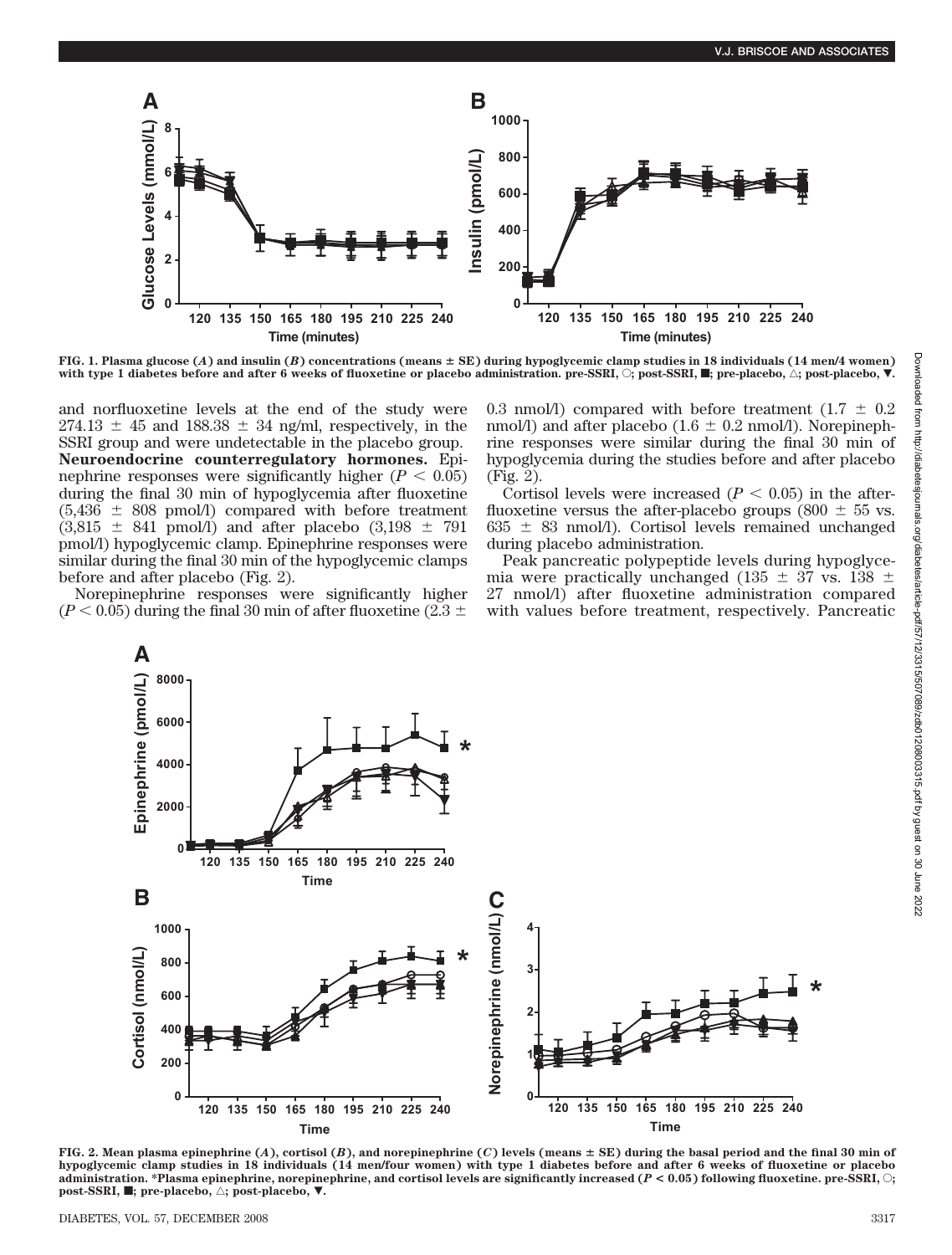

**FIG. 1. Plasma glucose (***A***) and insulin (***B***) concentrations (means SE) during hypoglycemic clamp studies in 18 individuals (14 men/4 women)** with type 1 diabetes before and after 6 weeks of fluoxetine or placebo administration. pre-SSRI,  $\bigcirc$ ; post-SSRI,  $\blacksquare$ ; pre-placebo,  $\bigtriangleup$ ; post-placebo,  $\blacktriangledown$ .

and norfluoxetine levels at the end of the study were  $274.13 \pm 45$  and  $188.38 \pm 34$  ng/ml, respectively, in the SSRI group and were undetectable in the placebo group. **Neuroendocrine counterregulatory hormones.** Epinephrine responses were significantly higher  $(P < 0.05)$ during the final 30 min of hypoglycemia after fluoxetine  $(5,436 \pm 808 \text{ pmol/l})$  compared with before treatment  $(3,815 \pm 841 \text{ pmol/l})$  and after placebo  $(3,198 \pm 791 \text{ m})$ pmol/l) hypoglycemic clamp. Epinephrine responses were similar during the final 30 min of the hypoglycemic clamps before and after placebo (Fig. 2).

Norepinephrine responses were significantly higher  $(P < 0.05)$  during the final 30 min of after fluoxetine (2.3  $\pm$ 

**A**

0.3 nmol/l) compared with before treatment (1.7  $\pm$  0.2 nmol/l) and after placebo (1.6  $\pm$  0.2 nmol/l). Norepinephrine responses were similar during the final 30 min of hypoglycemia during the studies before and after placebo (Fig. 2).

Cortisol levels were increased  $(P < 0.05)$  in the afterfluoxetine versus the after-placebo groups (800  $\pm$  55 vs.  $635 \pm 83$  nmol/l). Cortisol levels remained unchanged during placebo administration.

Peak pancreatic polypeptide levels during hypoglycemia were practically unchanged (135  $\pm$  37 vs. 138  $\pm$ 27 nmol/l) after fluoxetine administration compared with values before treatment, respectively. Pancreatic



**FIG. 2. Mean plasma epinephrine (***A***), cortisol (***B***), and norepinephrine (***C***) levels (means SE) during the basal period and the final 30 min of hypoglycemic clamp studies in 18 individuals (14 men/four women) with type 1 diabetes before and after 6 weeks of fluoxetine or placebo administration. \*Plasma epinephrine, norepinephrine, and cortisol levels are significantly increased (***P* **< 0.05) following fluoxetine. pre-SSRI,** E**; post-SSRI,**  $\blacksquare$ **; pre-placebo,**  $\triangle$ **; post-placebo,**  $\blacktriangledown$ **.**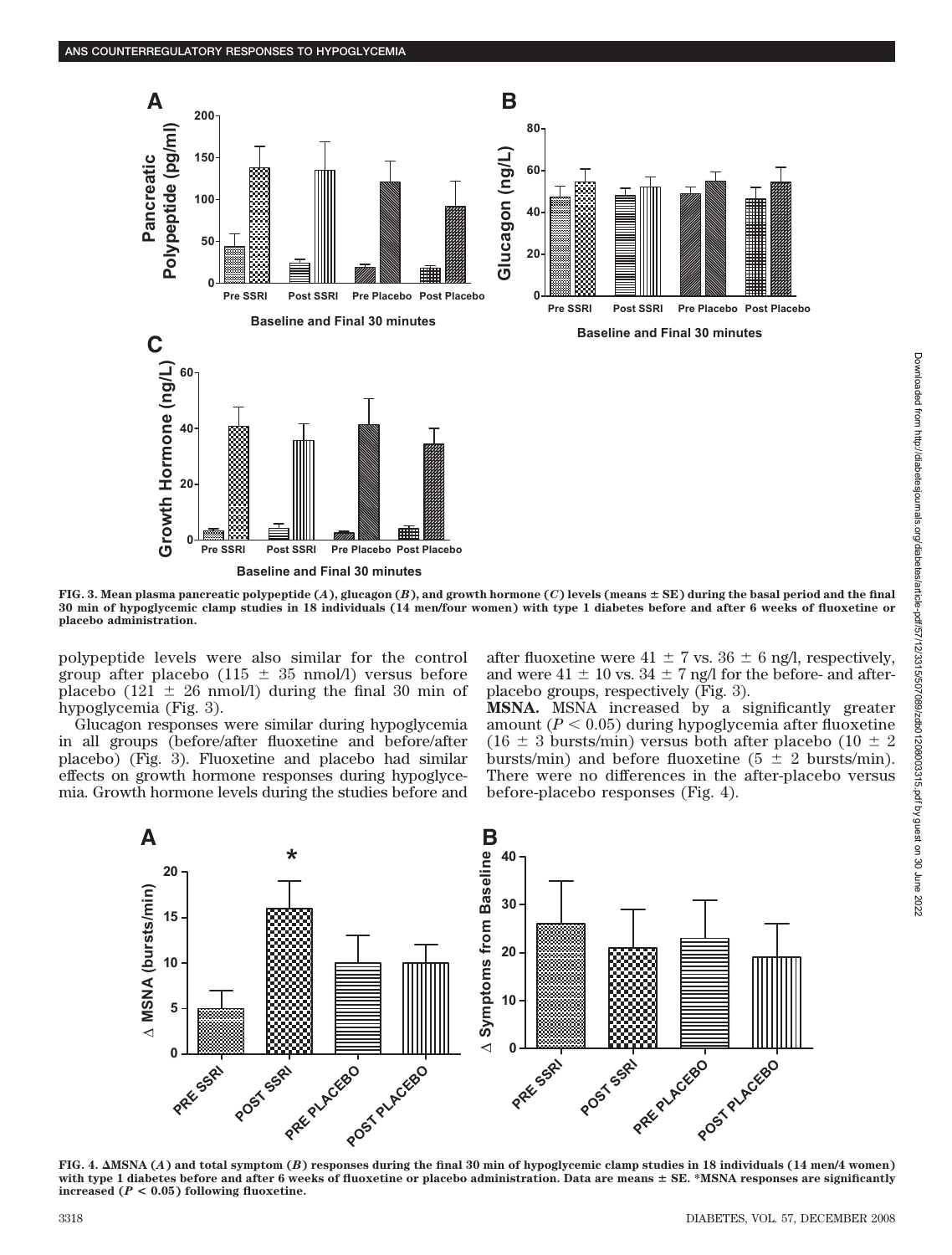

**FIG. 3. Mean plasma pancreatic polypeptide (***A***), glucagon (***B***), and growth hormone (***C***) levels (means SE) during the basal period and the final 30 min of hypoglycemic clamp studies in 18 individuals (14 men/four women) with type 1 diabetes before and after 6 weeks of fluoxetine or placebo administration.**

polypeptide levels were also similar for the control group after placebo (115  $\pm$  35 nmol/l) versus before placebo (121  $\pm$  26 nmol/l) during the final 30 min of hypoglycemia (Fig. 3).

Glucagon responses were similar during hypoglycemia in all groups (before/after fluoxetine and before/after placebo) (Fig. 3). Fluoxetine and placebo had similar effects on growth hormone responses during hypoglycemia. Growth hormone levels during the studies before and after fluoxetine were  $41 \pm 7$  vs.  $36 \pm 6$  ng/l, respectively, and were  $41 \pm 10$  vs.  $34 \pm 7$  ng/l for the before- and afterplacebo groups, respectively (Fig. 3).

**MSNA.** MSNA increased by a significantly greater amount  $(P < 0.05)$  during hypoglycemia after fluoxetine  $(16 \pm 3 \text{ bursts/min})$  versus both after placebo  $(10 \pm 2 \text{ s})$ bursts/min) and before fluoxetine ( $5 \pm 2$  bursts/min). There were no differences in the after-placebo versus before-placebo responses (Fig. 4).



**FIG. 4.** -**MSNA (***A***) and total symptom (***B***) responses during the final 30 min of hypoglycemic clamp studies in 18 individuals (14 men/4 women) with type 1 diabetes before and after 6 weeks of fluoxetine or placebo administration. Data are means SE. \*MSNA responses are significantly increased (***P* **< 0.05) following fluoxetine.**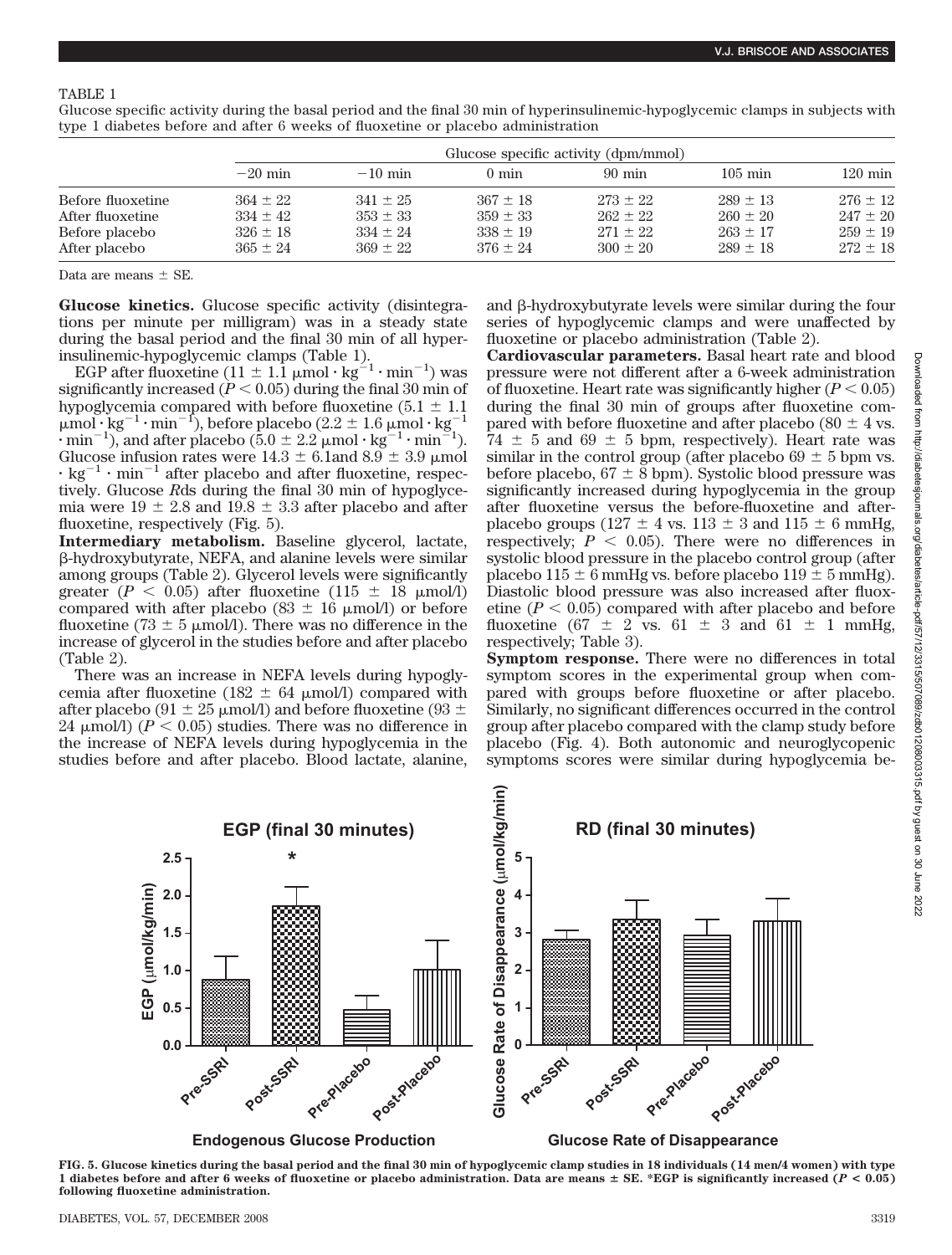## TABLE 1

Glucose specific activity during the basal period and the final 30 min of hyperinsulinemic-hypoglycemic clamps in subjects with type 1 diabetes before and after 6 weeks of fluoxetine or placebo administration

|                   | Glucose specific activity (dpm/mmol) |              |                 |                  |                   |                   |  |  |
|-------------------|--------------------------------------|--------------|-----------------|------------------|-------------------|-------------------|--|--|
|                   | $-20$ min                            | $-10$ min    | $0 \text{ min}$ | $90 \text{ min}$ | $105 \text{ min}$ | $120 \text{ min}$ |  |  |
| Before fluoxetine | $364 \pm 22$                         | $341 \pm 25$ | $367 \pm 18$    | $273 \pm 22$     | $289 + 13$        | $276 \pm 12$      |  |  |
| After fluoxetine  | $334 \pm 42$                         | $353 \pm 33$ | $359 \pm 33$    | $262 \pm 22$     | $260 + 20$        | $247 \pm 20$      |  |  |
| Before placebo    | $326 \pm 18$                         | $334 \pm 24$ | $338 + 19$      | $271 \pm 22$     | $263 + 17$        | $259 \pm 19$      |  |  |
| After placebo     | $365 \pm 24$                         | $369 \pm 22$ | $376 + 24$      | $300 + 20$       | $289 + 18$        | $272 \pm 18$      |  |  |

Data are means  $\pm$  SE.

**Glucose kinetics.** Glucose specific activity (disintegrations per minute per milligram) was in a steady state during the basal period and the final 30 min of all hyperinsulinemic-hypoglycemic clamps (Table 1).

EGP after fluoxetine  $(11 \pm 1.1 \mu \text{mol} \cdot \text{kg}^{-1} \cdot \text{min}^{-1})$  was significantly increased  $(P < 0.05)$  during the final 30 min of hypoglycemia compared with before fluoxetine  $(5.1 \pm 1.1)$  $\mu$ mol·kg<sup>-1</sup>·min<sup>-1</sup>), before placebo (2.2 ± 1.6  $\mu$ mol·kg<sup>-1</sup>  $\cdot$  min<sup>-1</sup>), and after placebo (5.0  $\pm$  2.2 µmol  $\cdot$  kg<sup>-1</sup>  $\cdot$  min<sup>-1</sup>). Glucose infusion rates were  $14.3 \pm 6.1$ and  $8.9 \pm 3.9$  µmol  $\cdot$  kg<sup>-1</sup>  $\cdot$  min<sup>-1</sup> after placebo and after fluoxetine, respectively. Glucose *R*ds during the final 30 min of hypoglycemia were  $19 \pm 2.8$  and  $19.8 \pm 3.3$  after placebo and after fluoxetine, respectively (Fig. 5).

**Intermediary metabolism.** Baseline glycerol, lactate, -hydroxybutyrate, NEFA, and alanine levels were similar among groups (Table 2). Glycerol levels were significantly greater  $(P < 0.05)$  after fluoxetine  $(115 \pm 18 \mu \text{mol/l})$ compared with after placebo (83  $\pm$  16  $\mu$ mol/l) or before fluoxetine (73  $\pm$  5 µmol/l). There was no difference in the increase of glycerol in the studies before and after placebo (Table 2).

There was an increase in NEFA levels during hypoglycemia after fluoxetine (182  $\pm$  64 µmol/l) compared with after placebo (91  $\pm$  25 µmol/l) and before fluoxetine (93  $\pm$ 24  $\mu$ mol/l) ( $P < 0.05$ ) studies. There was no difference in the increase of NEFA levels during hypoglycemia in the studies before and after placebo. Blood lactate, alanine, and  $\beta$ -hydroxybutyrate levels were similar during the four series of hypoglycemic clamps and were unaffected by fluoxetine or placebo administration (Table 2).

**Cardiovascular parameters.** Basal heart rate and blood pressure were not different after a 6-week administration of fluoxetine. Heart rate was significantly higher  $(P < 0.05)$ during the final 30 min of groups after fluoxetine compared with before fluoxetine and after placebo (80  $\pm$  4 vs.  $74 \pm 5$  and  $69 \pm 5$  bpm, respectively). Heart rate was similar in the control group (after placebo 69  $\pm$  5 bpm vs. before placebo,  $67 \pm 8$  bpm). Systolic blood pressure was significantly increased during hypoglycemia in the group after fluoxetine versus the before-fluoxetine and afterplacebo groups (127  $\pm$  4 vs. 113  $\pm$  3 and 115  $\pm$  6 mmHg, respectively;  $P \leq 0.05$ ). There were no differences in systolic blood pressure in the placebo control group (after placebo  $115 \pm 6$  mmHg vs. before placebo  $119 \pm 5$  mmHg). Diastolic blood pressure was also increased after fluoxetine  $(P < 0.05)$  compared with after placebo and before fluoxetine (67  $\pm$  2 vs. 61  $\pm$  3 and 61  $\pm$  1 mmHg, respectively; Table 3).

**Symptom response.** There were no differences in total symptom scores in the experimental group when compared with groups before fluoxetine or after placebo. Similarly, no significant differences occurred in the control group after placebo compared with the clamp study before placebo (Fig. 4). Both autonomic and neuroglycopenic symptoms scores were similar during hypoglycemia be-



**FIG. 5. Glucose kinetics during the basal period and the final 30 min of hypoglycemic clamp studies in 18 individuals (14 men/4 women) with type 1 diabetes before and after 6 weeks of fluoxetine or placebo administration. Data are means SE. \*EGP is significantly increased (***P* **< 0.05) following fluoxetine administration.**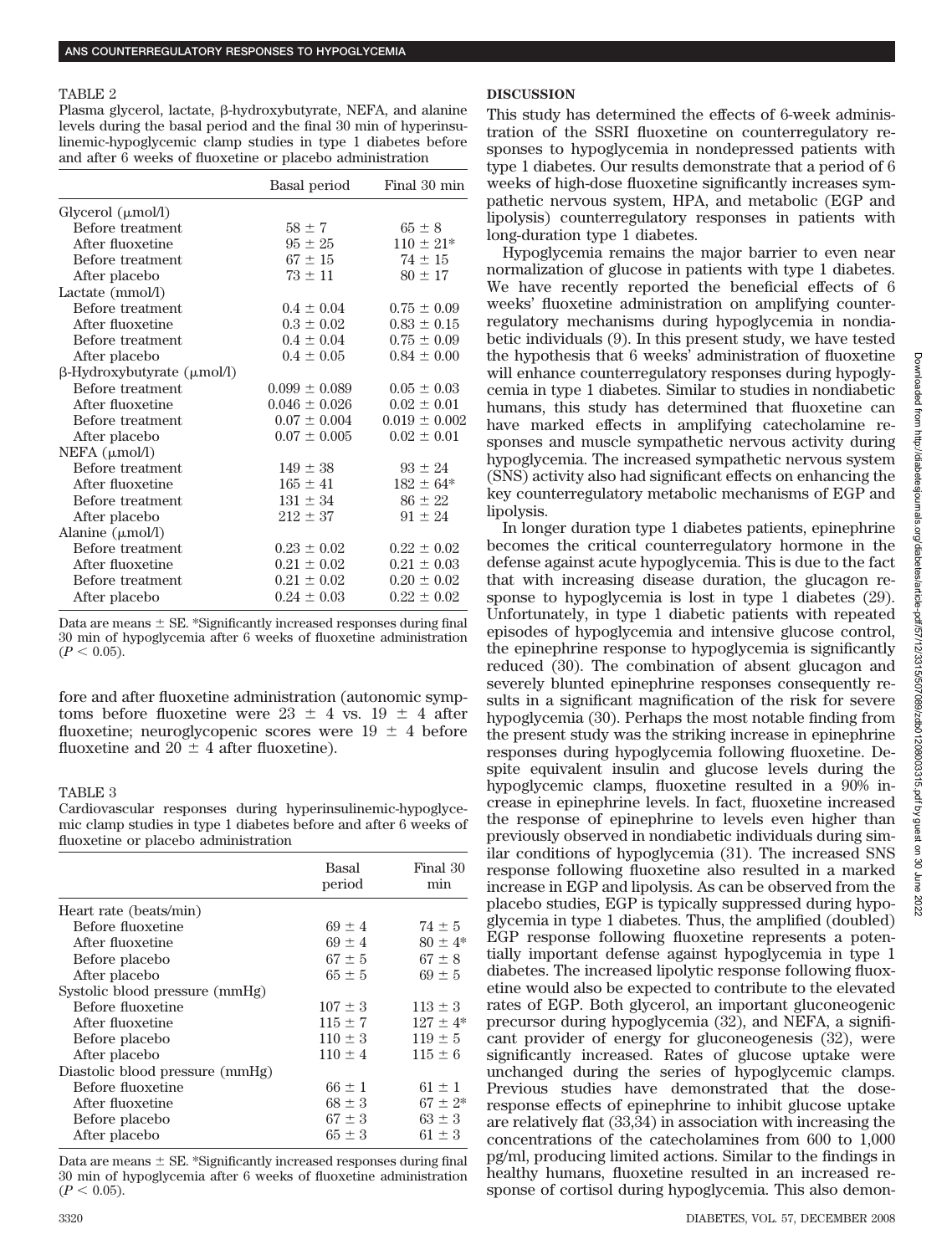#### TABLE 2

Plasma glycerol, lactate,  $\beta$ -hydroxybutyrate, NEFA, and alanine levels during the basal period and the final 30 min of hyperinsulinemic-hypoglycemic clamp studies in type 1 diabetes before and after 6 weeks of fluoxetine or placebo administration

|                                         | Basal period      | Final 30 min      |
|-----------------------------------------|-------------------|-------------------|
| Glycerol (µmol/l)                       |                   |                   |
| Before treatment                        | $58 \pm 7$        | $65 \pm 8$        |
| After fluoxetine                        | $95 \pm 25$       | $110 \pm 21*$     |
| Before treatment                        | $67 \pm 15$       | $74 \pm 15$       |
| After placebo                           | $73 \pm 11$       | $80 \pm 17$       |
| Lactate $(mmol/l)$                      |                   |                   |
| Before treatment                        | $0.4 \pm 0.04$    | $0.75 \pm 0.09$   |
| After fluoxetine                        | $0.3 \pm 0.02$    | $0.83 \pm 0.15$   |
| Before treatment                        | $0.4 \pm 0.04$    | $0.75 \pm 0.09$   |
| After placebo                           | $0.4 \pm 0.05$    | $0.84 \pm 0.00$   |
| $\beta$ -Hydroxybutyrate ( $\mu$ mol/l) |                   |                   |
| Before treatment                        | $0.099 \pm 0.089$ | $0.05 \pm 0.03$   |
| After fluoxetine                        | $0.046 \pm 0.026$ | $0.02 \pm 0.01$   |
| Before treatment                        | $0.07 \pm 0.004$  | $0.019 \pm 0.002$ |
| After placebo                           | $0.07 \pm 0.005$  | $0.02 \pm 0.01$   |
| $NEFA$ ( $\mu$ mol/l)                   |                   |                   |
| Before treatment                        | $149 \pm 38$      | $93 \pm 24$       |
| After fluoxetine                        | $165 \pm 41$      | $182 \pm 64*$     |
| Before treatment                        | $131 \pm 34$      | $86 \pm 22$       |
| After placebo                           | $212 \pm 37$      | $91 \pm 24$       |
| Alanine $(\mu \text{mol/l})$            |                   |                   |
| Before treatment                        | $0.23 \pm 0.02$   | $0.22 \pm 0.02$   |
| After fluoxetine                        | $0.21 \pm 0.02$   | $0.21 \pm 0.03$   |
| Before treatment                        | $0.21 \pm 0.02$   | $0.20 \pm 0.02$   |
| After placebo                           | $0.24 \pm 0.03$   | $0.22 \pm 0.02$   |
|                                         |                   |                   |

Data are means  $\pm$  SE. \*Significantly increased responses during final 30 min of hypoglycemia after 6 weeks of fluoxetine administration  $(P < 0.05)$ .

fore and after fluoxetine administration (autonomic symptoms before fluoxetine were  $23 \pm 4$  vs.  $19 \pm 4$  after fluoxetine; neuroglycopenic scores were  $19 \pm 4$  before fluoxetine and  $20 \pm 4$  after fluoxetine).

# TABLE 3

Cardiovascular responses during hyperinsulinemic-hypoglycemic clamp studies in type 1 diabetes before and after 6 weeks of fluoxetine or placebo administration

|                                 | Basal<br>period | Final 30<br>min |
|---------------------------------|-----------------|-----------------|
| Heart rate (beats/min)          |                 |                 |
| Before fluoxetine               | $69 + 4$        | $74 \pm 5$      |
| After fluoxetine                | $69 + 4$        | $80 \pm 4*$     |
| Before placebo                  | $67 + 5$        | $67 + 8$        |
| After placebo                   | $65 + 5$        | $69 + 5$        |
| Systolic blood pressure (mmHg)  |                 |                 |
| Before fluoxetine               | $107 \pm 3$     | $113 \pm 3$     |
| After fluoxetine                | $115 + 7$       | $127 + 4*$      |
| Before placebo                  | $110 \pm 3$     | $119 \pm 5$     |
| After placebo                   | $110 \pm 4$     | $115 + 6$       |
| Diastolic blood pressure (mmHg) |                 |                 |
| Before fluoxetine               | $66 + 1$        | $61 + 1$        |
| After fluoxetine                | $68 \pm 3$      | $67 \pm 2*$     |
| Before placebo                  | $67 \pm 3$      | $63 \pm 3$      |
| After placebo                   | $65 \pm 3$      | $61 \pm 3$      |

Data are means  $\pm$  SE. \*Significantly increased responses during final 30 min of hypoglycemia after 6 weeks of fluoxetine administration  $(P < 0.05)$ .

# **DISCUSSION**

This study has determined the effects of 6-week administration of the SSRI fluoxetine on counterregulatory responses to hypoglycemia in nondepressed patients with type 1 diabetes. Our results demonstrate that a period of 6 weeks of high-dose fluoxetine significantly increases sympathetic nervous system, HPA, and metabolic (EGP and lipolysis) counterregulatory responses in patients with long-duration type 1 diabetes.

Hypoglycemia remains the major barrier to even near normalization of glucose in patients with type 1 diabetes. We have recently reported the beneficial effects of 6 weeks' fluoxetine administration on amplifying counterregulatory mechanisms during hypoglycemia in nondiabetic individuals (9). In this present study, we have tested the hypothesis that 6 weeks' administration of fluoxetine will enhance counterregulatory responses during hypoglycemia in type 1 diabetes. Similar to studies in nondiabetic humans, this study has determined that fluoxetine can have marked effects in amplifying catecholamine responses and muscle sympathetic nervous activity during hypoglycemia. The increased sympathetic nervous system (SNS) activity also had significant effects on enhancing the key counterregulatory metabolic mechanisms of EGP and lipolysis.

In longer duration type 1 diabetes patients, epinephrine becomes the critical counterregulatory hormone in the defense against acute hypoglycemia. This is due to the fact that with increasing disease duration, the glucagon response to hypoglycemia is lost in type 1 diabetes (29). Unfortunately, in type 1 diabetic patients with repeated episodes of hypoglycemia and intensive glucose control, the epinephrine response to hypoglycemia is significantly reduced (30). The combination of absent glucagon and severely blunted epinephrine responses consequently results in a significant magnification of the risk for severe hypoglycemia (30). Perhaps the most notable finding from the present study was the striking increase in epinephrine responses during hypoglycemia following fluoxetine. Despite equivalent insulin and glucose levels during the hypoglycemic clamps, fluoxetine resulted in a 90% increase in epinephrine levels. In fact, fluoxetine increased the response of epinephrine to levels even higher than previously observed in nondiabetic individuals during similar conditions of hypoglycemia (31). The increased SNS response following fluoxetine also resulted in a marked increase in EGP and lipolysis. As can be observed from the placebo studies, EGP is typically suppressed during hypoglycemia in type 1 diabetes. Thus, the amplified (doubled) EGP response following fluoxetine represents a potentially important defense against hypoglycemia in type 1 diabetes. The increased lipolytic response following fluoxetine would also be expected to contribute to the elevated rates of EGP. Both glycerol, an important gluconeogenic precursor during hypoglycemia (32), and NEFA, a significant provider of energy for gluconeogenesis (32), were significantly increased. Rates of glucose uptake were unchanged during the series of hypoglycemic clamps. Previous studies have demonstrated that the doseresponse effects of epinephrine to inhibit glucose uptake are relatively flat (33,34) in association with increasing the concentrations of the catecholamines from 600 to 1,000 pg/ml, producing limited actions. Similar to the findings in healthy humans, fluoxetine resulted in an increased response of cortisol during hypoglycemia. This also demon-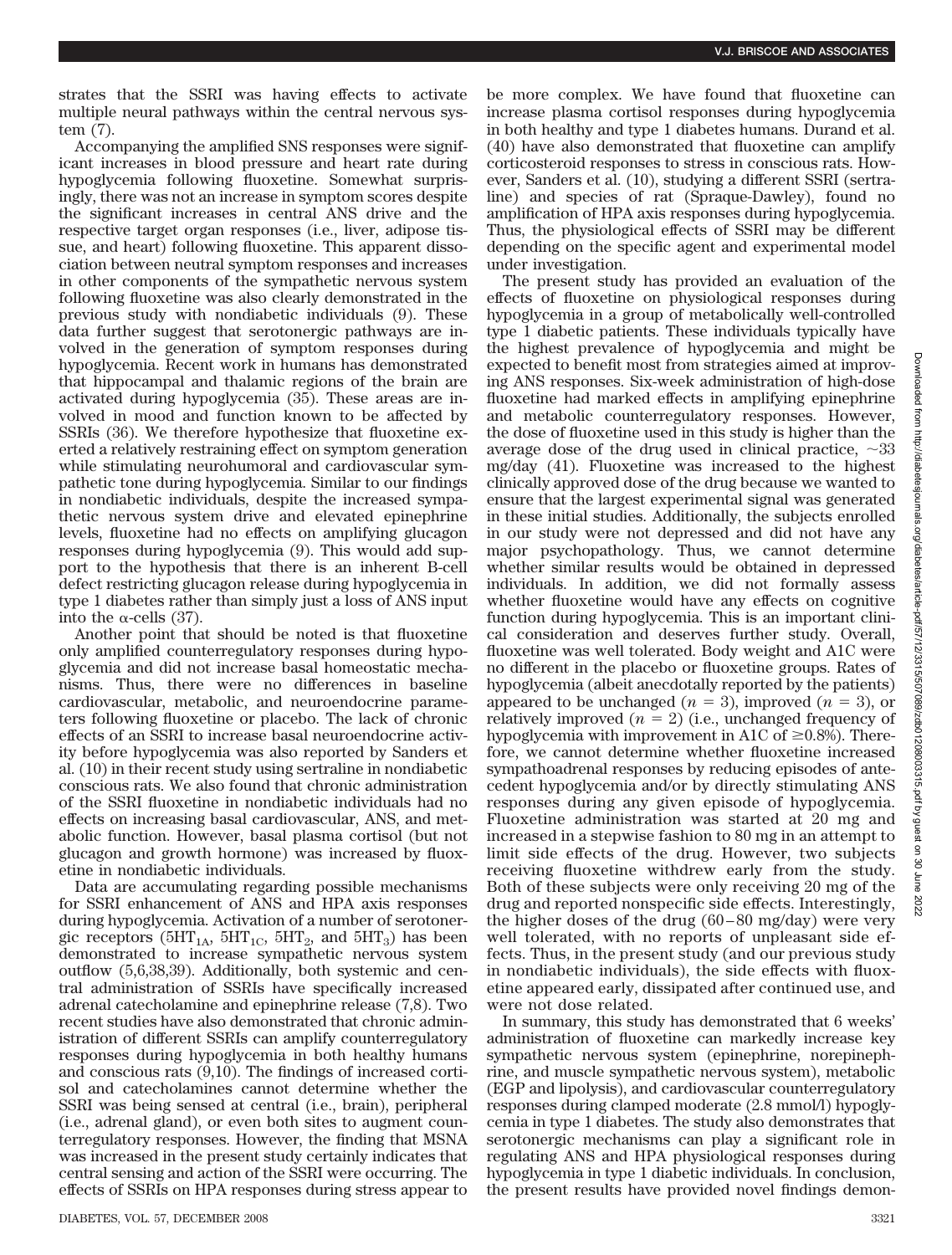strates that the SSRI was having effects to activate multiple neural pathways within the central nervous system (7).

Accompanying the amplified SNS responses were significant increases in blood pressure and heart rate during hypoglycemia following fluoxetine. Somewhat surprisingly, there was not an increase in symptom scores despite the significant increases in central ANS drive and the respective target organ responses (i.e., liver, adipose tissue, and heart) following fluoxetine. This apparent dissociation between neutral symptom responses and increases in other components of the sympathetic nervous system following fluoxetine was also clearly demonstrated in the previous study with nondiabetic individuals (9). These data further suggest that serotonergic pathways are involved in the generation of symptom responses during hypoglycemia. Recent work in humans has demonstrated that hippocampal and thalamic regions of the brain are activated during hypoglycemia (35). These areas are involved in mood and function known to be affected by SSRIs (36). We therefore hypothesize that fluoxetine exerted a relatively restraining effect on symptom generation while stimulating neurohumoral and cardiovascular sympathetic tone during hypoglycemia. Similar to our findings in nondiabetic individuals, despite the increased sympathetic nervous system drive and elevated epinephrine levels, fluoxetine had no effects on amplifying glucagon responses during hypoglycemia (9). This would add support to the hypothesis that there is an inherent B-cell defect restricting glucagon release during hypoglycemia in type 1 diabetes rather than simply just a loss of ANS input into the  $\alpha$ -cells (37).

Another point that should be noted is that fluoxetine only amplified counterregulatory responses during hypoglycemia and did not increase basal homeostatic mechanisms. Thus, there were no differences in baseline cardiovascular, metabolic, and neuroendocrine parameters following fluoxetine or placebo. The lack of chronic effects of an SSRI to increase basal neuroendocrine activity before hypoglycemia was also reported by Sanders et al. (10) in their recent study using sertraline in nondiabetic conscious rats. We also found that chronic administration of the SSRI fluoxetine in nondiabetic individuals had no effects on increasing basal cardiovascular, ANS, and metabolic function. However, basal plasma cortisol (but not glucagon and growth hormone) was increased by fluoxetine in nondiabetic individuals.

Data are accumulating regarding possible mechanisms for SSRI enhancement of ANS and HPA axis responses during hypoglycemia. Activation of a number of serotonergic receptors ( $5HT_{1A}$ ,  $5HT_{1C}$ ,  $5HT_{2}$ , and  $5HT_{3}$ ) has been demonstrated to increase sympathetic nervous system outflow (5,6,38,39). Additionally, both systemic and central administration of SSRIs have specifically increased adrenal catecholamine and epinephrine release (7,8). Two recent studies have also demonstrated that chronic administration of different SSRIs can amplify counterregulatory responses during hypoglycemia in both healthy humans and conscious rats (9,10). The findings of increased cortisol and catecholamines cannot determine whether the SSRI was being sensed at central (i.e., brain), peripheral (i.e., adrenal gland), or even both sites to augment counterregulatory responses. However, the finding that MSNA was increased in the present study certainly indicates that central sensing and action of the SSRI were occurring. The effects of SSRIs on HPA responses during stress appear to

be more complex. We have found that fluoxetine can increase plasma cortisol responses during hypoglycemia in both healthy and type 1 diabetes humans. Durand et al. (40) have also demonstrated that fluoxetine can amplify corticosteroid responses to stress in conscious rats. However, Sanders et al. (10), studying a different SSRI (sertraline) and species of rat (Spraque-Dawley), found no amplification of HPA axis responses during hypoglycemia. Thus, the physiological effects of SSRI may be different depending on the specific agent and experimental model under investigation.

The present study has provided an evaluation of the effects of fluoxetine on physiological responses during hypoglycemia in a group of metabolically well-controlled type 1 diabetic patients. These individuals typically have the highest prevalence of hypoglycemia and might be expected to benefit most from strategies aimed at improving ANS responses. Six-week administration of high-dose fluoxetine had marked effects in amplifying epinephrine and metabolic counterregulatory responses. However, the dose of fluoxetine used in this study is higher than the average dose of the drug used in clinical practice,  $\sim 33$ mg/day (41). Fluoxetine was increased to the highest clinically approved dose of the drug because we wanted to ensure that the largest experimental signal was generated in these initial studies. Additionally, the subjects enrolled in our study were not depressed and did not have any major psychopathology. Thus, we cannot determine whether similar results would be obtained in depressed individuals. In addition, we did not formally assess whether fluoxetine would have any effects on cognitive function during hypoglycemia. This is an important clinical consideration and deserves further study. Overall, fluoxetine was well tolerated. Body weight and A1C were no different in the placebo or fluoxetine groups. Rates of hypoglycemia (albeit anecdotally reported by the patients) appeared to be unchanged  $(n = 3)$ , improved  $(n = 3)$ , or relatively improved  $(n = 2)$  (i.e., unchanged frequency of hypoglycemia with improvement in A1C of  $\geq 0.8$ %). Therefore, we cannot determine whether fluoxetine increased sympathoadrenal responses by reducing episodes of antecedent hypoglycemia and/or by directly stimulating ANS responses during any given episode of hypoglycemia. Fluoxetine administration was started at 20 mg and increased in a stepwise fashion to 80 mg in an attempt to limit side effects of the drug. However, two subjects receiving fluoxetine withdrew early from the study. Both of these subjects were only receiving 20 mg of the drug and reported nonspecific side effects. Interestingly, the higher doses of the drug (60 – 80 mg/day) were very well tolerated, with no reports of unpleasant side effects. Thus, in the present study (and our previous study in nondiabetic individuals), the side effects with fluoxetine appeared early, dissipated after continued use, and were not dose related.

In summary, this study has demonstrated that 6 weeks' administration of fluoxetine can markedly increase key sympathetic nervous system (epinephrine, norepinephrine, and muscle sympathetic nervous system), metabolic (EGP and lipolysis), and cardiovascular counterregulatory responses during clamped moderate (2.8 mmol/l) hypoglycemia in type 1 diabetes. The study also demonstrates that serotonergic mechanisms can play a significant role in regulating ANS and HPA physiological responses during hypoglycemia in type 1 diabetic individuals. In conclusion, the present results have provided novel findings demon